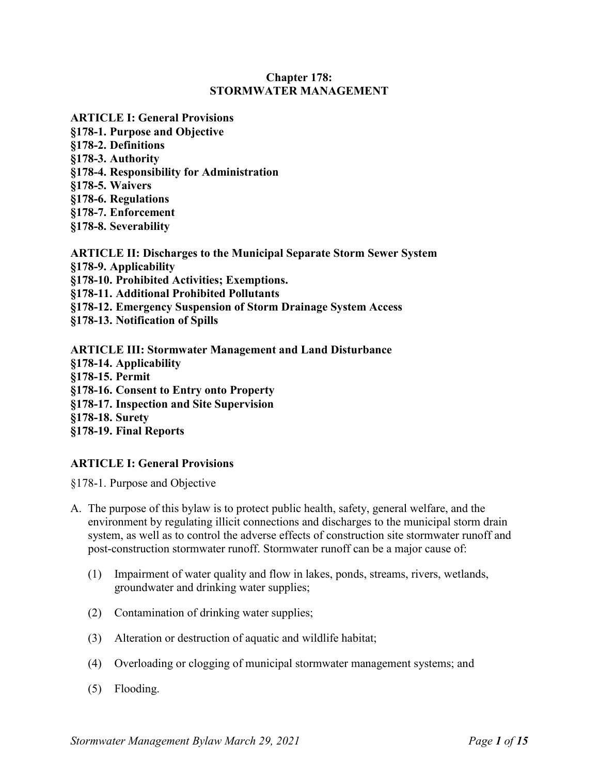## **Chapter 178: STORMWATER MANAGEMENT**

- **ARTICLE I: General Provisions §178-1. Purpose and Objective §178-2. Definitions §178-3. Authority §178-4. Responsibility for Administration §178-5. Waivers §178-6. Regulations §178-7. Enforcement §178-8. Severability**
- **ARTICLE II: Discharges to the Municipal Separate Storm Sewer System §178-9. Applicability §178-10. Prohibited Activities; Exemptions. §178-11. Additional Prohibited Pollutants §178-12. Emergency Suspension of Storm Drainage System Access §178-13. Notification of Spills**
- **ARTICLE III: Stormwater Management and Land Disturbance §178-14. Applicability §178-15. Permit §178-16. Consent to Entry onto Property §178-17. Inspection and Site Supervision §178-18. Surety §178-19. Final Reports**

# **ARTICLE I: General Provisions**

§178-1. Purpose and Objective

- A. The purpose of this bylaw is to protect public health, safety, general welfare, and the environment by regulating illicit connections and discharges to the municipal storm drain system, as well as to control the adverse effects of construction site stormwater runoff and post-construction stormwater runoff. Stormwater runoff can be a major cause of:
	- (1) Impairment of water quality and flow in lakes, ponds, streams, rivers, wetlands, groundwater and drinking water supplies;
	- (2) Contamination of drinking water supplies;
	- (3) Alteration or destruction of aquatic and wildlife habitat;
	- (4) Overloading or clogging of municipal stormwater management systems; and
	- (5) Flooding.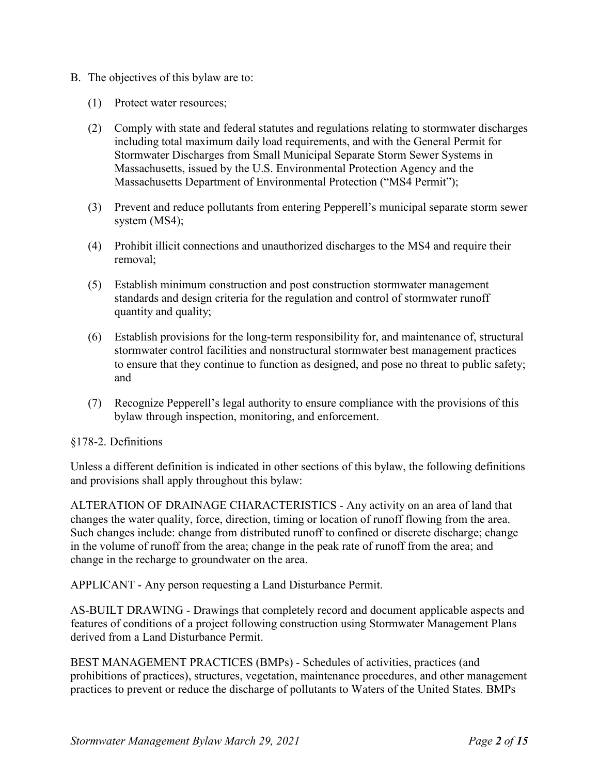- B. The objectives of this bylaw are to:
	- (1) Protect water resources;
	- (2) Comply with state and federal statutes and regulations relating to stormwater discharges including total maximum daily load requirements, and with the General Permit for Stormwater Discharges from Small Municipal Separate Storm Sewer Systems in Massachusetts, issued by the U.S. Environmental Protection Agency and the Massachusetts Department of Environmental Protection ("MS4 Permit");
	- (3) Prevent and reduce pollutants from entering Pepperell's municipal separate storm sewer system (MS4);
	- (4) Prohibit illicit connections and unauthorized discharges to the MS4 and require their removal;
	- (5) Establish minimum construction and post construction stormwater management standards and design criteria for the regulation and control of stormwater runoff quantity and quality;
	- (6) Establish provisions for the long-term responsibility for, and maintenance of, structural stormwater control facilities and nonstructural stormwater best management practices to ensure that they continue to function as designed, and pose no threat to public safety; and
	- (7) Recognize Pepperell's legal authority to ensure compliance with the provisions of this bylaw through inspection, monitoring, and enforcement.

# §178-2. Definitions

Unless a different definition is indicated in other sections of this bylaw, the following definitions and provisions shall apply throughout this bylaw:

ALTERATION OF DRAINAGE CHARACTERISTICS - Any activity on an area of land that changes the water quality, force, direction, timing or location of runoff flowing from the area. Such changes include: change from distributed runoff to confined or discrete discharge; change in the volume of runoff from the area; change in the peak rate of runoff from the area; and change in the recharge to groundwater on the area.

APPLICANT - Any person requesting a Land Disturbance Permit.

AS-BUILT DRAWING - Drawings that completely record and document applicable aspects and features of conditions of a project following construction using Stormwater Management Plans derived from a Land Disturbance Permit.

BEST MANAGEMENT PRACTICES (BMPs) - Schedules of activities, practices (and prohibitions of practices), structures, vegetation, maintenance procedures, and other management practices to prevent or reduce the discharge of pollutants to Waters of the United States. BMPs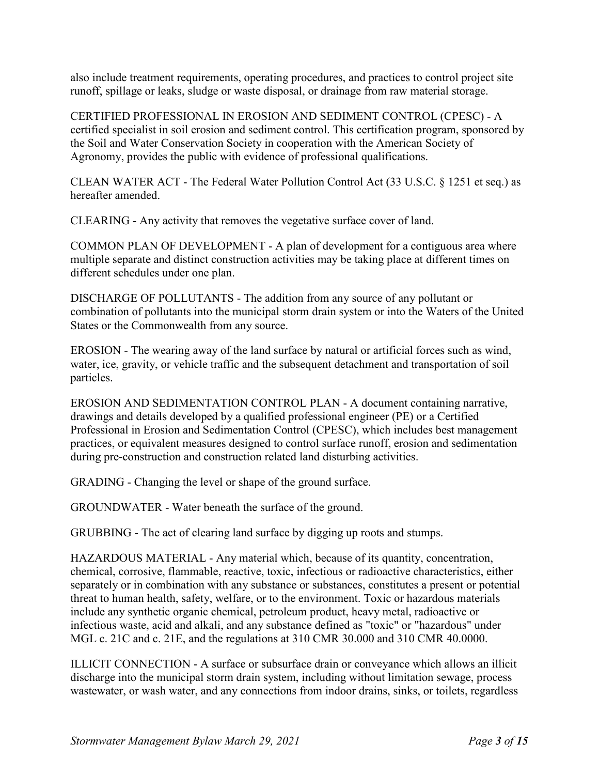also include treatment requirements, operating procedures, and practices to control project site runoff, spillage or leaks, sludge or waste disposal, or drainage from raw material storage.

CERTIFIED PROFESSIONAL IN EROSION AND SEDIMENT CONTROL (CPESC) - A certified specialist in soil erosion and sediment control. This certification program, sponsored by the Soil and Water Conservation Society in cooperation with the American Society of Agronomy, provides the public with evidence of professional qualifications.

CLEAN WATER ACT - The Federal Water Pollution Control Act (33 U.S.C. § 1251 et seq.) as hereafter amended.

CLEARING - Any activity that removes the vegetative surface cover of land.

COMMON PLAN OF DEVELOPMENT - A plan of development for a contiguous area where multiple separate and distinct construction activities may be taking place at different times on different schedules under one plan.

DISCHARGE OF POLLUTANTS - The addition from any source of any pollutant or combination of pollutants into the municipal storm drain system or into the Waters of the United States or the Commonwealth from any source.

EROSION - The wearing away of the land surface by natural or artificial forces such as wind, water, ice, gravity, or vehicle traffic and the subsequent detachment and transportation of soil particles.

EROSION AND SEDIMENTATION CONTROL PLAN - A document containing narrative, drawings and details developed by a qualified professional engineer (PE) or a Certified Professional in Erosion and Sedimentation Control (CPESC), which includes best management practices, or equivalent measures designed to control surface runoff, erosion and sedimentation during pre-construction and construction related land disturbing activities.

GRADING - Changing the level or shape of the ground surface.

GROUNDWATER - Water beneath the surface of the ground.

GRUBBING - The act of clearing land surface by digging up roots and stumps.

HAZARDOUS MATERIAL - Any material which, because of its quantity, concentration, chemical, corrosive, flammable, reactive, toxic, infectious or radioactive characteristics, either separately or in combination with any substance or substances, constitutes a present or potential threat to human health, safety, welfare, or to the environment. Toxic or hazardous materials include any synthetic organic chemical, petroleum product, heavy metal, radioactive or infectious waste, acid and alkali, and any substance defined as "toxic" or "hazardous" under MGL c. 21C and c. 21E, and the regulations at 310 CMR 30.000 and 310 CMR 40.0000.

ILLICIT CONNECTION - A surface or subsurface drain or conveyance which allows an illicit discharge into the municipal storm drain system, including without limitation sewage, process wastewater, or wash water, and any connections from indoor drains, sinks, or toilets, regardless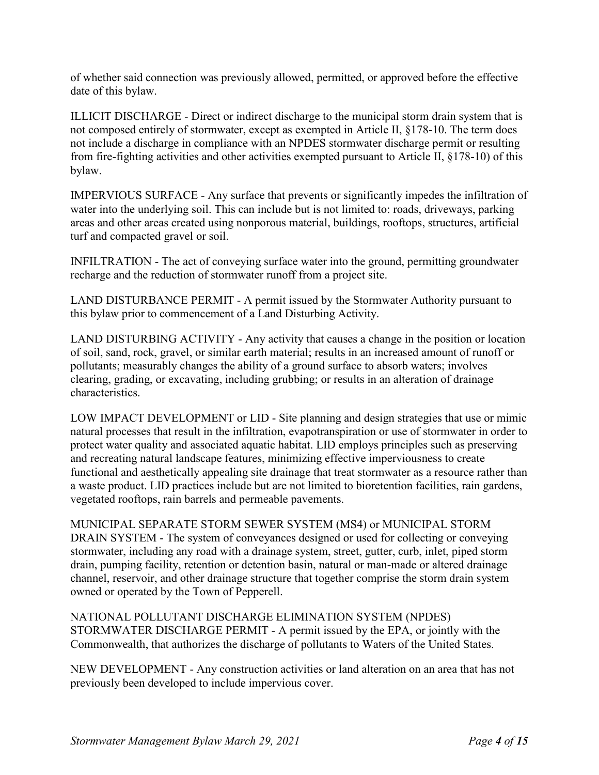of whether said connection was previously allowed, permitted, or approved before the effective date of this bylaw.

ILLICIT DISCHARGE - Direct or indirect discharge to the municipal storm drain system that is not composed entirely of stormwater, except as exempted in Article II, §178-10. The term does not include a discharge in compliance with an NPDES stormwater discharge permit or resulting from fire-fighting activities and other activities exempted pursuant to Article II, §178-10) of this bylaw.

IMPERVIOUS SURFACE - Any surface that prevents or significantly impedes the infiltration of water into the underlying soil. This can include but is not limited to: roads, driveways, parking areas and other areas created using nonporous material, buildings, rooftops, structures, artificial turf and compacted gravel or soil.

INFILTRATION - The act of conveying surface water into the ground, permitting groundwater recharge and the reduction of stormwater runoff from a project site.

LAND DISTURBANCE PERMIT - A permit issued by the Stormwater Authority pursuant to this bylaw prior to commencement of a Land Disturbing Activity.

LAND DISTURBING ACTIVITY - Any activity that causes a change in the position or location of soil, sand, rock, gravel, or similar earth material; results in an increased amount of runoff or pollutants; measurably changes the ability of a ground surface to absorb waters; involves clearing, grading, or excavating, including grubbing; or results in an alteration of drainage characteristics.

LOW IMPACT DEVELOPMENT or LID - Site planning and design strategies that use or mimic natural processes that result in the infiltration, evapotranspiration or use of stormwater in order to protect water quality and associated aquatic habitat. LID employs principles such as preserving and recreating natural landscape features, minimizing effective imperviousness to create functional and aesthetically appealing site drainage that treat stormwater as a resource rather than a waste product. LID practices include but are not limited to bioretention facilities, rain gardens, vegetated rooftops, rain barrels and permeable pavements.

MUNICIPAL SEPARATE STORM SEWER SYSTEM (MS4) or MUNICIPAL STORM DRAIN SYSTEM - The system of conveyances designed or used for collecting or conveying stormwater, including any road with a drainage system, street, gutter, curb, inlet, piped storm drain, pumping facility, retention or detention basin, natural or man-made or altered drainage channel, reservoir, and other drainage structure that together comprise the storm drain system owned or operated by the Town of Pepperell.

NATIONAL POLLUTANT DISCHARGE ELIMINATION SYSTEM (NPDES) STORMWATER DISCHARGE PERMIT - A permit issued by the EPA, or jointly with the Commonwealth, that authorizes the discharge of pollutants to Waters of the United States.

NEW DEVELOPMENT - Any construction activities or land alteration on an area that has not previously been developed to include impervious cover.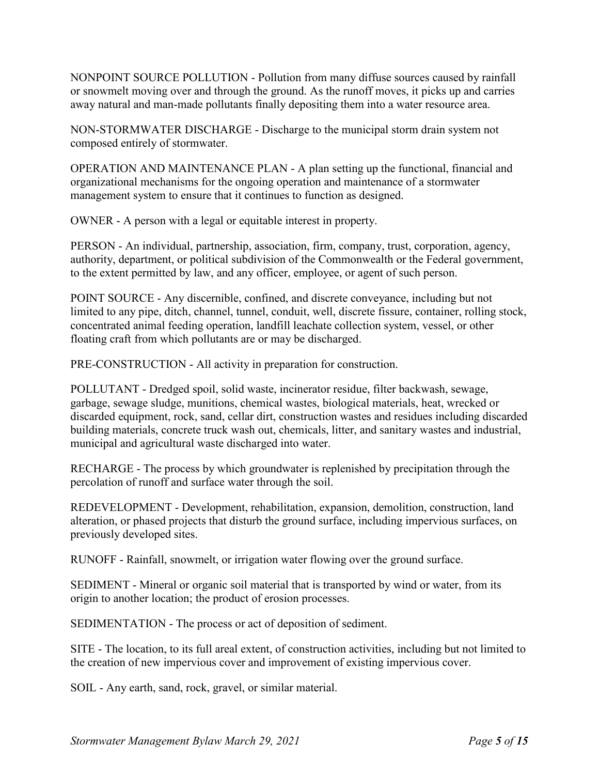NONPOINT SOURCE POLLUTION - Pollution from many diffuse sources caused by rainfall or snowmelt moving over and through the ground. As the runoff moves, it picks up and carries away natural and man-made pollutants finally depositing them into a water resource area.

NON-STORMWATER DISCHARGE - Discharge to the municipal storm drain system not composed entirely of stormwater.

OPERATION AND MAINTENANCE PLAN - A plan setting up the functional, financial and organizational mechanisms for the ongoing operation and maintenance of a stormwater management system to ensure that it continues to function as designed.

OWNER - A person with a legal or equitable interest in property.

PERSON - An individual, partnership, association, firm, company, trust, corporation, agency, authority, department, or political subdivision of the Commonwealth or the Federal government, to the extent permitted by law, and any officer, employee, or agent of such person.

POINT SOURCE - Any discernible, confined, and discrete conveyance, including but not limited to any pipe, ditch, channel, tunnel, conduit, well, discrete fissure, container, rolling stock, concentrated animal feeding operation, landfill leachate collection system, vessel, or other floating craft from which pollutants are or may be discharged.

PRE-CONSTRUCTION - All activity in preparation for construction.

POLLUTANT - Dredged spoil, solid waste, incinerator residue, filter backwash, sewage, garbage, sewage sludge, munitions, chemical wastes, biological materials, heat, wrecked or discarded equipment, rock, sand, cellar dirt, construction wastes and residues including discarded building materials, concrete truck wash out, chemicals, litter, and sanitary wastes and industrial, municipal and agricultural waste discharged into water.

RECHARGE - The process by which groundwater is replenished by precipitation through the percolation of runoff and surface water through the soil.

REDEVELOPMENT - Development, rehabilitation, expansion, demolition, construction, land alteration, or phased projects that disturb the ground surface, including impervious surfaces, on previously developed sites.

RUNOFF - Rainfall, snowmelt, or irrigation water flowing over the ground surface.

SEDIMENT - Mineral or organic soil material that is transported by wind or water, from its origin to another location; the product of erosion processes.

SEDIMENTATION - The process or act of deposition of sediment.

SITE - The location, to its full areal extent, of construction activities, including but not limited to the creation of new impervious cover and improvement of existing impervious cover.

SOIL - Any earth, sand, rock, gravel, or similar material.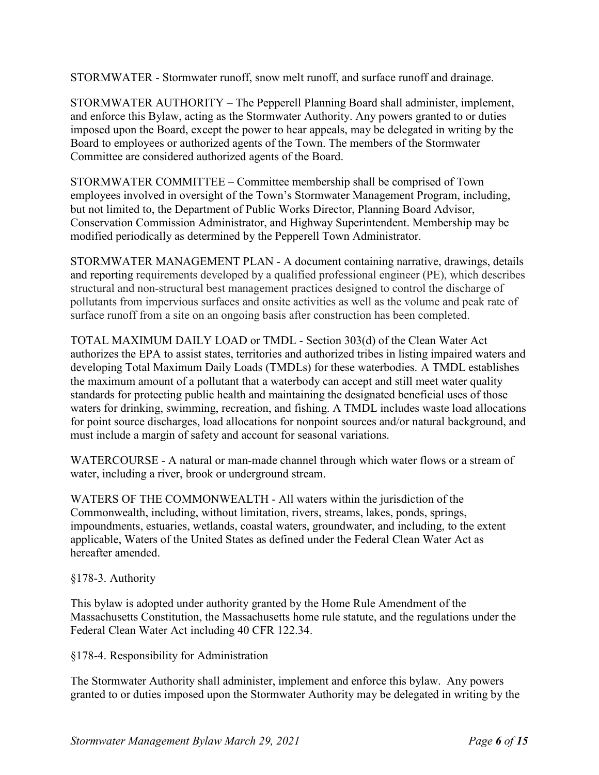STORMWATER - Stormwater runoff, snow melt runoff, and surface runoff and drainage.

STORMWATER AUTHORITY – The Pepperell Planning Board shall administer, implement, and enforce this Bylaw, acting as the Stormwater Authority. Any powers granted to or duties imposed upon the Board, except the power to hear appeals, may be delegated in writing by the Board to employees or authorized agents of the Town. The members of the Stormwater Committee are considered authorized agents of the Board.

STORMWATER COMMITTEE – Committee membership shall be comprised of Town employees involved in oversight of the Town's Stormwater Management Program, including, but not limited to, the Department of Public Works Director, Planning Board Advisor, Conservation Commission Administrator, and Highway Superintendent. Membership may be modified periodically as determined by the Pepperell Town Administrator.

STORMWATER MANAGEMENT PLAN - A document containing narrative, drawings, details and reporting requirements developed by a qualified professional engineer (PE), which describes structural and non-structural best management practices designed to control the discharge of pollutants from impervious surfaces and onsite activities as well as the volume and peak rate of surface runoff from a site on an ongoing basis after construction has been completed.

TOTAL MAXIMUM DAILY LOAD or TMDL - Section 303(d) of the Clean Water Act authorizes the EPA to assist states, territories and authorized tribes in listing impaired waters and developing Total Maximum Daily Loads (TMDLs) for these waterbodies. A TMDL establishes the maximum amount of a pollutant that a waterbody can accept and still meet water quality standards for protecting public health and maintaining the designated beneficial uses of those waters for drinking, swimming, recreation, and fishing. A TMDL includes waste load allocations for point source discharges, load allocations for nonpoint sources and/or natural background, and must include a margin of safety and account for seasonal variations.

WATERCOURSE - A natural or man-made channel through which water flows or a stream of water, including a river, brook or underground stream.

WATERS OF THE COMMONWEALTH - All waters within the jurisdiction of the Commonwealth, including, without limitation, rivers, streams, lakes, ponds, springs, impoundments, estuaries, wetlands, coastal waters, groundwater, and including, to the extent applicable, Waters of the United States as defined under the Federal Clean Water Act as hereafter amended.

## §178-3. Authority

This bylaw is adopted under authority granted by the Home Rule Amendment of the Massachusetts Constitution, the Massachusetts home rule statute, and the regulations under the Federal Clean Water Act including 40 CFR 122.34.

§178-4. Responsibility for Administration

The Stormwater Authority shall administer, implement and enforce this bylaw. Any powers granted to or duties imposed upon the Stormwater Authority may be delegated in writing by the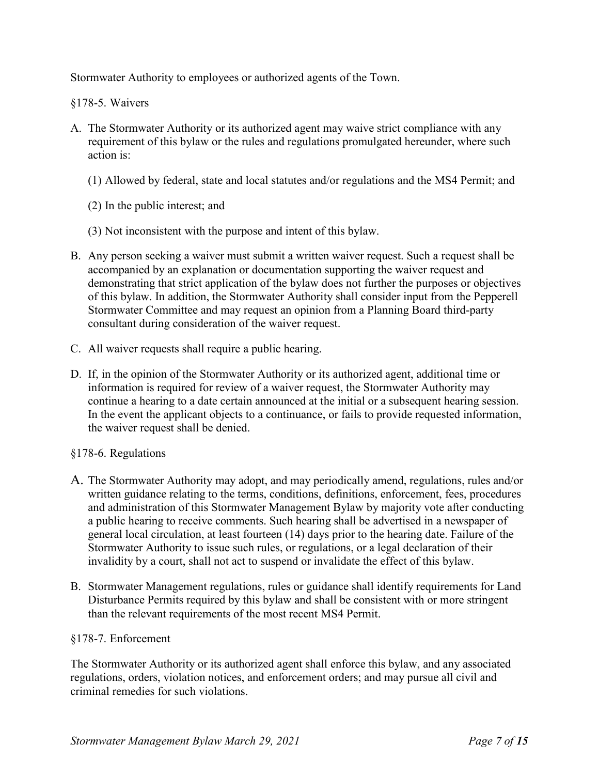Stormwater Authority to employees or authorized agents of the Town.

§178-5. Waivers

- A. The Stormwater Authority or its authorized agent may waive strict compliance with any requirement of this bylaw or the rules and regulations promulgated hereunder, where such action is:
	- (1) Allowed by federal, state and local statutes and/or regulations and the MS4 Permit; and
	- (2) In the public interest; and
	- (3) Not inconsistent with the purpose and intent of this bylaw.
- B. Any person seeking a waiver must submit a written waiver request. Such a request shall be accompanied by an explanation or documentation supporting the waiver request and demonstrating that strict application of the bylaw does not further the purposes or objectives of this bylaw. In addition, the Stormwater Authority shall consider input from the Pepperell Stormwater Committee and may request an opinion from a Planning Board third-party consultant during consideration of the waiver request.
- C. All waiver requests shall require a public hearing.
- D. If, in the opinion of the Stormwater Authority or its authorized agent, additional time or information is required for review of a waiver request, the Stormwater Authority may continue a hearing to a date certain announced at the initial or a subsequent hearing session. In the event the applicant objects to a continuance, or fails to provide requested information, the waiver request shall be denied.

## §178-6. Regulations

- A. The Stormwater Authority may adopt, and may periodically amend, regulations, rules and/or written guidance relating to the terms, conditions, definitions, enforcement, fees, procedures and administration of this Stormwater Management Bylaw by majority vote after conducting a public hearing to receive comments. Such hearing shall be advertised in a newspaper of general local circulation, at least fourteen (14) days prior to the hearing date. Failure of the Stormwater Authority to issue such rules, or regulations, or a legal declaration of their invalidity by a court, shall not act to suspend or invalidate the effect of this bylaw.
- B. Stormwater Management regulations, rules or guidance shall identify requirements for Land Disturbance Permits required by this bylaw and shall be consistent with or more stringent than the relevant requirements of the most recent MS4 Permit.

## §178-7. Enforcement

The Stormwater Authority or its authorized agent shall enforce this bylaw, and any associated regulations, orders, violation notices, and enforcement orders; and may pursue all civil and criminal remedies for such violations.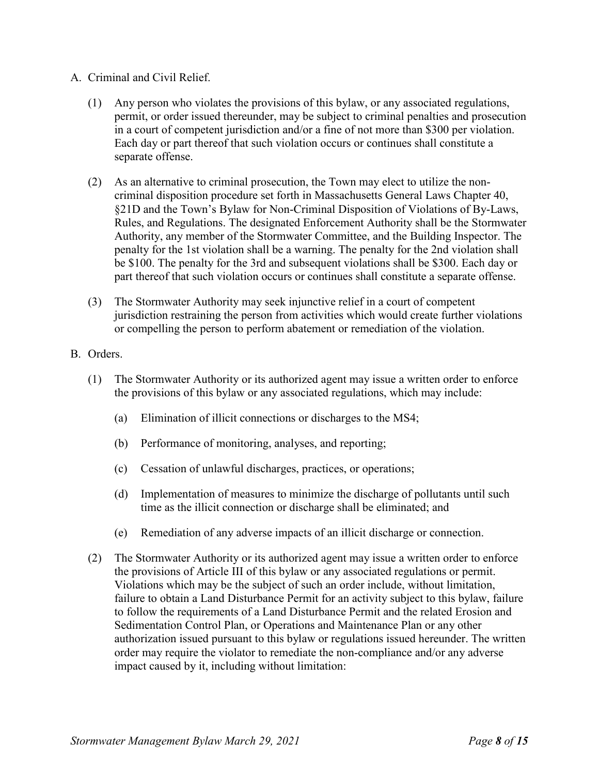- A. Criminal and Civil Relief.
	- (1) Any person who violates the provisions of this bylaw, or any associated regulations, permit, or order issued thereunder, may be subject to criminal penalties and prosecution in a court of competent jurisdiction and/or a fine of not more than \$300 per violation. Each day or part thereof that such violation occurs or continues shall constitute a separate offense.
	- (2) As an alternative to criminal prosecution, the Town may elect to utilize the noncriminal disposition procedure set forth in Massachusetts General Laws Chapter 40, §21D and the Town's Bylaw for Non-Criminal Disposition of Violations of By-Laws, Rules, and Regulations. The designated Enforcement Authority shall be the Stormwater Authority, any member of the Stormwater Committee, and the Building Inspector. The penalty for the 1st violation shall be a warning. The penalty for the 2nd violation shall be \$100. The penalty for the 3rd and subsequent violations shall be \$300. Each day or part thereof that such violation occurs or continues shall constitute a separate offense.
	- (3) The Stormwater Authority may seek injunctive relief in a court of competent jurisdiction restraining the person from activities which would create further violations or compelling the person to perform abatement or remediation of the violation.
- B. Orders.
	- (1) The Stormwater Authority or its authorized agent may issue a written order to enforce the provisions of this bylaw or any associated regulations, which may include:
		- (a) Elimination of illicit connections or discharges to the MS4;
		- (b) Performance of monitoring, analyses, and reporting;
		- (c) Cessation of unlawful discharges, practices, or operations;
		- (d) Implementation of measures to minimize the discharge of pollutants until such time as the illicit connection or discharge shall be eliminated; and
		- (e) Remediation of any adverse impacts of an illicit discharge or connection.
	- (2) The Stormwater Authority or its authorized agent may issue a written order to enforce the provisions of Article III of this bylaw or any associated regulations or permit. Violations which may be the subject of such an order include, without limitation, failure to obtain a Land Disturbance Permit for an activity subject to this bylaw, failure to follow the requirements of a Land Disturbance Permit and the related Erosion and Sedimentation Control Plan, or Operations and Maintenance Plan or any other authorization issued pursuant to this bylaw or regulations issued hereunder. The written order may require the violator to remediate the non-compliance and/or any adverse impact caused by it, including without limitation: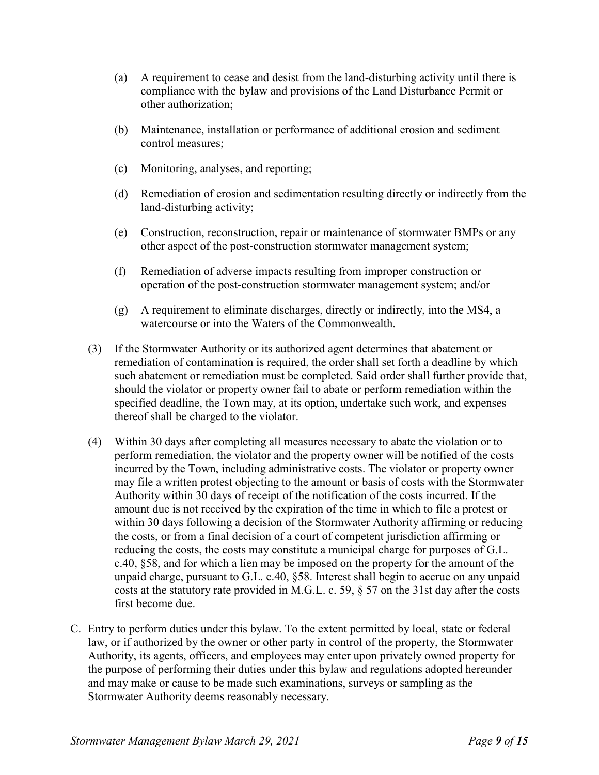- (a) A requirement to cease and desist from the land-disturbing activity until there is compliance with the bylaw and provisions of the Land Disturbance Permit or other authorization;
- (b) Maintenance, installation or performance of additional erosion and sediment control measures;
- (c) Monitoring, analyses, and reporting;
- (d) Remediation of erosion and sedimentation resulting directly or indirectly from the land-disturbing activity;
- (e) Construction, reconstruction, repair or maintenance of stormwater BMPs or any other aspect of the post-construction stormwater management system;
- (f) Remediation of adverse impacts resulting from improper construction or operation of the post-construction stormwater management system; and/or
- (g) A requirement to eliminate discharges, directly or indirectly, into the MS4, a watercourse or into the Waters of the Commonwealth.
- (3) If the Stormwater Authority or its authorized agent determines that abatement or remediation of contamination is required, the order shall set forth a deadline by which such abatement or remediation must be completed. Said order shall further provide that, should the violator or property owner fail to abate or perform remediation within the specified deadline, the Town may, at its option, undertake such work, and expenses thereof shall be charged to the violator.
- (4) Within 30 days after completing all measures necessary to abate the violation or to perform remediation, the violator and the property owner will be notified of the costs incurred by the Town, including administrative costs. The violator or property owner may file a written protest objecting to the amount or basis of costs with the Stormwater Authority within 30 days of receipt of the notification of the costs incurred. If the amount due is not received by the expiration of the time in which to file a protest or within 30 days following a decision of the Stormwater Authority affirming or reducing the costs, or from a final decision of a court of competent jurisdiction affirming or reducing the costs, the costs may constitute a municipal charge for purposes of G.L. c.40, §58, and for which a lien may be imposed on the property for the amount of the unpaid charge, pursuant to G.L. c.40, §58. Interest shall begin to accrue on any unpaid costs at the statutory rate provided in M.G.L. c. 59, § 57 on the 31st day after the costs first become due.
- C. Entry to perform duties under this bylaw. To the extent permitted by local, state or federal law, or if authorized by the owner or other party in control of the property, the Stormwater Authority, its agents, officers, and employees may enter upon privately owned property for the purpose of performing their duties under this bylaw and regulations adopted hereunder and may make or cause to be made such examinations, surveys or sampling as the Stormwater Authority deems reasonably necessary.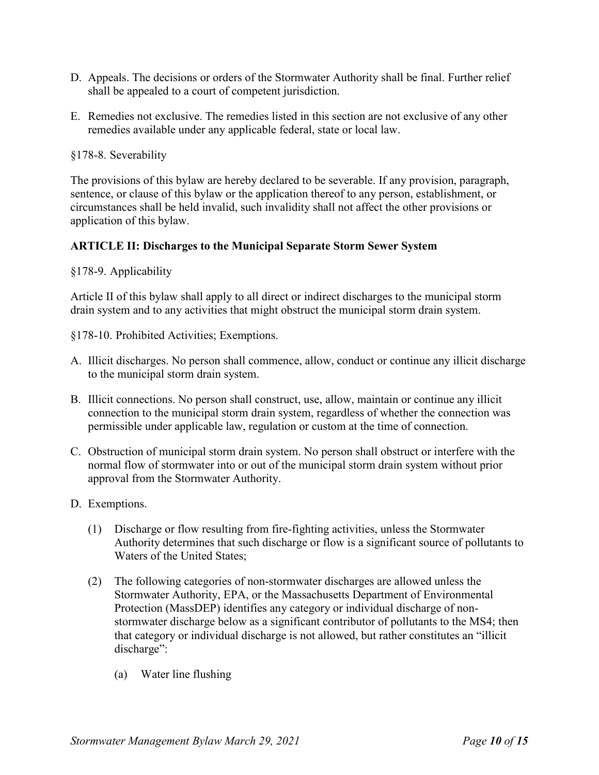- D. Appeals. The decisions or orders of the Stormwater Authority shall be final. Further relief shall be appealed to a court of competent jurisdiction.
- E. Remedies not exclusive. The remedies listed in this section are not exclusive of any other remedies available under any applicable federal, state or local law.

§178-8. Severability

The provisions of this bylaw are hereby declared to be severable. If any provision, paragraph, sentence, or clause of this bylaw or the application thereof to any person, establishment, or circumstances shall be held invalid, such invalidity shall not affect the other provisions or application of this bylaw.

## **ARTICLE II: Discharges to the Municipal Separate Storm Sewer System**

## §178-9. Applicability

Article II of this bylaw shall apply to all direct or indirect discharges to the municipal storm drain system and to any activities that might obstruct the municipal storm drain system.

§178-10. Prohibited Activities; Exemptions.

- A. Illicit discharges. No person shall commence, allow, conduct or continue any illicit discharge to the municipal storm drain system.
- B. Illicit connections. No person shall construct, use, allow, maintain or continue any illicit connection to the municipal storm drain system, regardless of whether the connection was permissible under applicable law, regulation or custom at the time of connection.
- C. Obstruction of municipal storm drain system. No person shall obstruct or interfere with the normal flow of stormwater into or out of the municipal storm drain system without prior approval from the Stormwater Authority.
- D. Exemptions.
	- (1) Discharge or flow resulting from fire-fighting activities, unless the Stormwater Authority determines that such discharge or flow is a significant source of pollutants to Waters of the United States;
	- (2) The following categories of non-stormwater discharges are allowed unless the Stormwater Authority, EPA, or the Massachusetts Department of Environmental Protection (MassDEP) identifies any category or individual discharge of nonstormwater discharge below as a significant contributor of pollutants to the MS4; then that category or individual discharge is not allowed, but rather constitutes an "illicit discharge":
		- (a) Water line flushing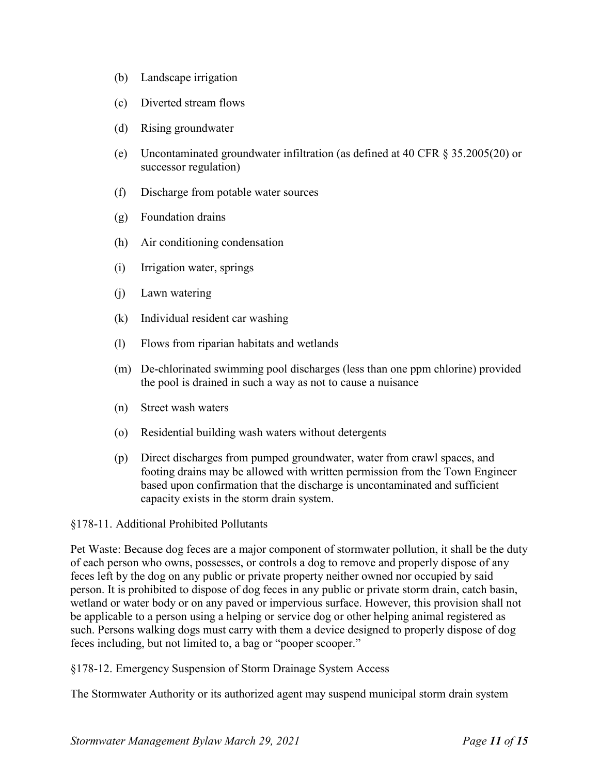- (b) Landscape irrigation
- (c) Diverted stream flows
- (d) Rising groundwater
- (e) Uncontaminated groundwater infiltration (as defined at 40 CFR § 35.2005(20) or successor regulation)
- (f) Discharge from potable water sources
- (g) Foundation drains
- (h) Air conditioning condensation
- (i) Irrigation water, springs
- (j) Lawn watering
- (k) Individual resident car washing
- (l) Flows from riparian habitats and wetlands
- (m) De-chlorinated swimming pool discharges (less than one ppm chlorine) provided the pool is drained in such a way as not to cause a nuisance
- (n) Street wash waters
- (o) Residential building wash waters without detergents
- (p) Direct discharges from pumped groundwater, water from crawl spaces, and footing drains may be allowed with written permission from the Town Engineer based upon confirmation that the discharge is uncontaminated and sufficient capacity exists in the storm drain system.

#### §178-11. Additional Prohibited Pollutants

Pet Waste: Because dog feces are a major component of stormwater pollution, it shall be the duty of each person who owns, possesses, or controls a dog to remove and properly dispose of any feces left by the dog on any public or private property neither owned nor occupied by said person. It is prohibited to dispose of dog feces in any public or private storm drain, catch basin, wetland or water body or on any paved or impervious surface. However, this provision shall not be applicable to a person using a helping or service dog or other helping animal registered as such. Persons walking dogs must carry with them a device designed to properly dispose of dog feces including, but not limited to, a bag or "pooper scooper."

§178-12. Emergency Suspension of Storm Drainage System Access

The Stormwater Authority or its authorized agent may suspend municipal storm drain system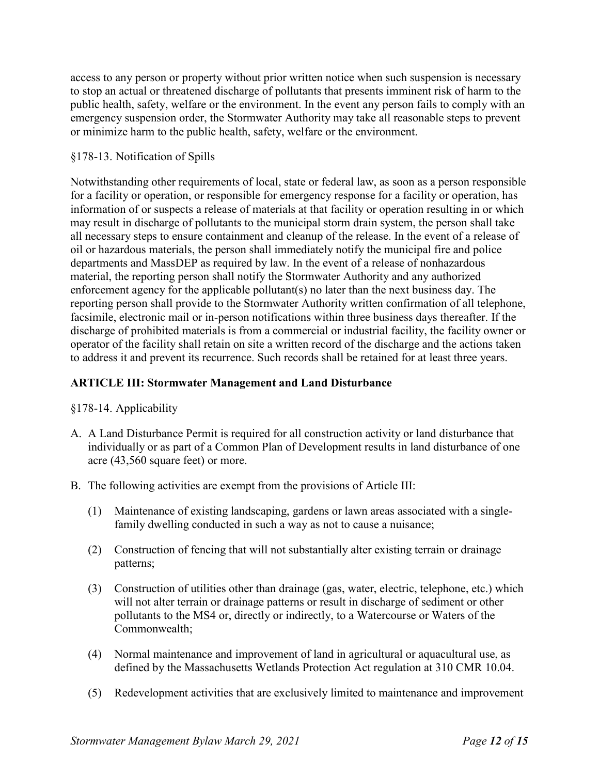access to any person or property without prior written notice when such suspension is necessary to stop an actual or threatened discharge of pollutants that presents imminent risk of harm to the public health, safety, welfare or the environment. In the event any person fails to comply with an emergency suspension order, the Stormwater Authority may take all reasonable steps to prevent or minimize harm to the public health, safety, welfare or the environment.

## §178-13. Notification of Spills

Notwithstanding other requirements of local, state or federal law, as soon as a person responsible for a facility or operation, or responsible for emergency response for a facility or operation, has information of or suspects a release of materials at that facility or operation resulting in or which may result in discharge of pollutants to the municipal storm drain system, the person shall take all necessary steps to ensure containment and cleanup of the release. In the event of a release of oil or hazardous materials, the person shall immediately notify the municipal fire and police departments and MassDEP as required by law. In the event of a release of nonhazardous material, the reporting person shall notify the Stormwater Authority and any authorized enforcement agency for the applicable pollutant(s) no later than the next business day. The reporting person shall provide to the Stormwater Authority written confirmation of all telephone, facsimile, electronic mail or in-person notifications within three business days thereafter. If the discharge of prohibited materials is from a commercial or industrial facility, the facility owner or operator of the facility shall retain on site a written record of the discharge and the actions taken to address it and prevent its recurrence. Such records shall be retained for at least three years.

# **ARTICLE III: Stormwater Management and Land Disturbance**

## §178-14. Applicability

- A. A Land Disturbance Permit is required for all construction activity or land disturbance that individually or as part of a Common Plan of Development results in land disturbance of one acre (43,560 square feet) or more.
- B. The following activities are exempt from the provisions of Article III:
	- (1) Maintenance of existing landscaping, gardens or lawn areas associated with a singlefamily dwelling conducted in such a way as not to cause a nuisance;
	- (2) Construction of fencing that will not substantially alter existing terrain or drainage patterns;
	- (3) Construction of utilities other than drainage (gas, water, electric, telephone, etc.) which will not alter terrain or drainage patterns or result in discharge of sediment or other pollutants to the MS4 or, directly or indirectly, to a Watercourse or Waters of the Commonwealth;
	- (4) Normal maintenance and improvement of land in agricultural or aquacultural use, as defined by the Massachusetts Wetlands Protection Act regulation at 310 CMR 10.04.
	- (5) Redevelopment activities that are exclusively limited to maintenance and improvement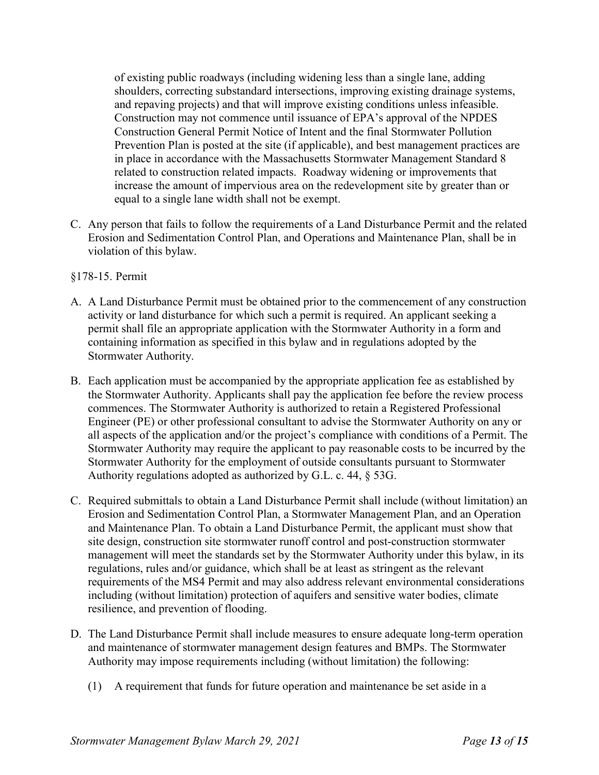of existing public roadways (including widening less than a single lane, adding shoulders, correcting substandard intersections, improving existing drainage systems, and repaving projects) and that will improve existing conditions unless infeasible. Construction may not commence until issuance of EPA's approval of the NPDES Construction General Permit Notice of Intent and the final Stormwater Pollution Prevention Plan is posted at the site (if applicable), and best management practices are in place in accordance with the Massachusetts Stormwater Management Standard 8 related to construction related impacts. Roadway widening or improvements that increase the amount of impervious area on the redevelopment site by greater than or equal to a single lane width shall not be exempt.

C. Any person that fails to follow the requirements of a Land Disturbance Permit and the related Erosion and Sedimentation Control Plan, and Operations and Maintenance Plan, shall be in violation of this bylaw.

## §178-15. Permit

- A. A Land Disturbance Permit must be obtained prior to the commencement of any construction activity or land disturbance for which such a permit is required. An applicant seeking a permit shall file an appropriate application with the Stormwater Authority in a form and containing information as specified in this bylaw and in regulations adopted by the Stormwater Authority.
- B. Each application must be accompanied by the appropriate application fee as established by the Stormwater Authority. Applicants shall pay the application fee before the review process commences. The Stormwater Authority is authorized to retain a Registered Professional Engineer (PE) or other professional consultant to advise the Stormwater Authority on any or all aspects of the application and/or the project's compliance with conditions of a Permit. The Stormwater Authority may require the applicant to pay reasonable costs to be incurred by the Stormwater Authority for the employment of outside consultants pursuant to Stormwater Authority regulations adopted as authorized by G.L. c. 44, § 53G.
- C. Required submittals to obtain a Land Disturbance Permit shall include (without limitation) an Erosion and Sedimentation Control Plan, a Stormwater Management Plan, and an Operation and Maintenance Plan. To obtain a Land Disturbance Permit, the applicant must show that site design, construction site stormwater runoff control and post-construction stormwater management will meet the standards set by the Stormwater Authority under this bylaw, in its regulations, rules and/or guidance, which shall be at least as stringent as the relevant requirements of the MS4 Permit and may also address relevant environmental considerations including (without limitation) protection of aquifers and sensitive water bodies, climate resilience, and prevention of flooding.
- D. The Land Disturbance Permit shall include measures to ensure adequate long-term operation and maintenance of stormwater management design features and BMPs. The Stormwater Authority may impose requirements including (without limitation) the following:
	- (1) A requirement that funds for future operation and maintenance be set aside in a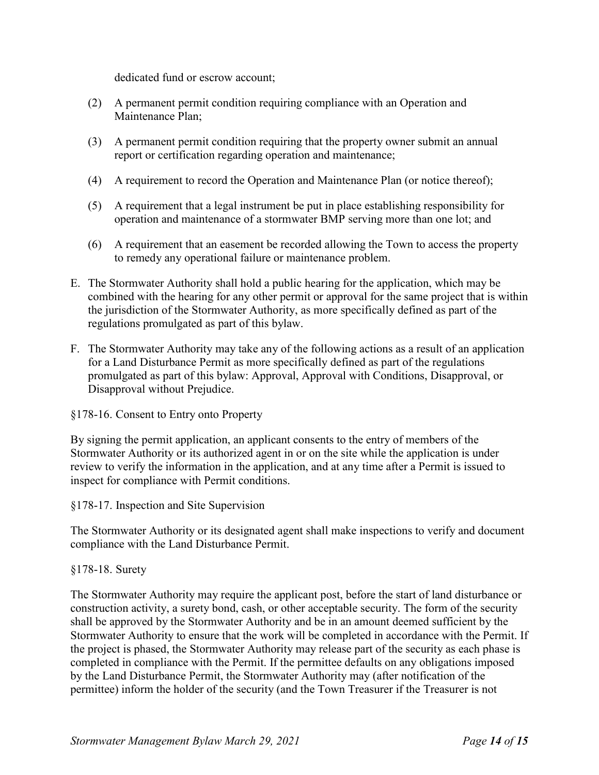dedicated fund or escrow account;

- (2) A permanent permit condition requiring compliance with an Operation and Maintenance Plan;
- (3) A permanent permit condition requiring that the property owner submit an annual report or certification regarding operation and maintenance;
- (4) A requirement to record the Operation and Maintenance Plan (or notice thereof);
- (5) A requirement that a legal instrument be put in place establishing responsibility for operation and maintenance of a stormwater BMP serving more than one lot; and
- (6) A requirement that an easement be recorded allowing the Town to access the property to remedy any operational failure or maintenance problem.
- E. The Stormwater Authority shall hold a public hearing for the application, which may be combined with the hearing for any other permit or approval for the same project that is within the jurisdiction of the Stormwater Authority, as more specifically defined as part of the regulations promulgated as part of this bylaw.
- F. The Stormwater Authority may take any of the following actions as a result of an application for a Land Disturbance Permit as more specifically defined as part of the regulations promulgated as part of this bylaw: Approval, Approval with Conditions, Disapproval, or Disapproval without Prejudice.

§178-16. Consent to Entry onto Property

By signing the permit application, an applicant consents to the entry of members of the Stormwater Authority or its authorized agent in or on the site while the application is under review to verify the information in the application, and at any time after a Permit is issued to inspect for compliance with Permit conditions.

§178-17. Inspection and Site Supervision

The Stormwater Authority or its designated agent shall make inspections to verify and document compliance with the Land Disturbance Permit.

## §178-18. Surety

The Stormwater Authority may require the applicant post, before the start of land disturbance or construction activity, a surety bond, cash, or other acceptable security. The form of the security shall be approved by the Stormwater Authority and be in an amount deemed sufficient by the Stormwater Authority to ensure that the work will be completed in accordance with the Permit. If the project is phased, the Stormwater Authority may release part of the security as each phase is completed in compliance with the Permit. If the permittee defaults on any obligations imposed by the Land Disturbance Permit, the Stormwater Authority may (after notification of the permittee) inform the holder of the security (and the Town Treasurer if the Treasurer is not